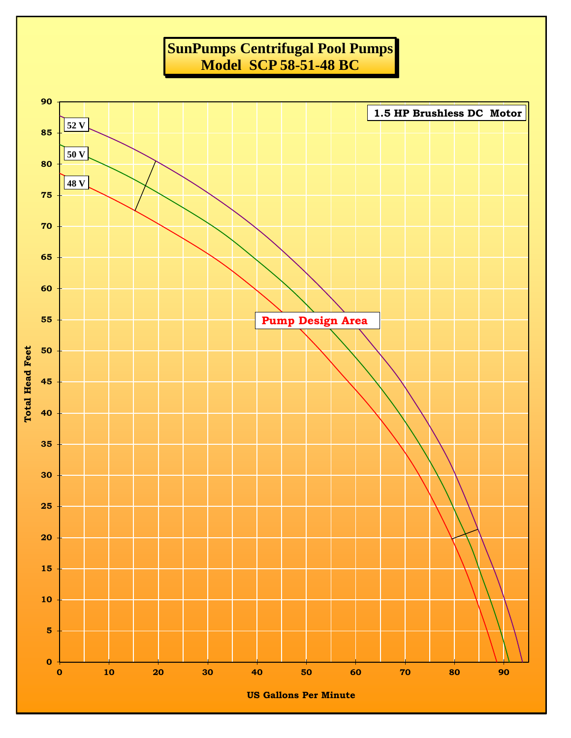